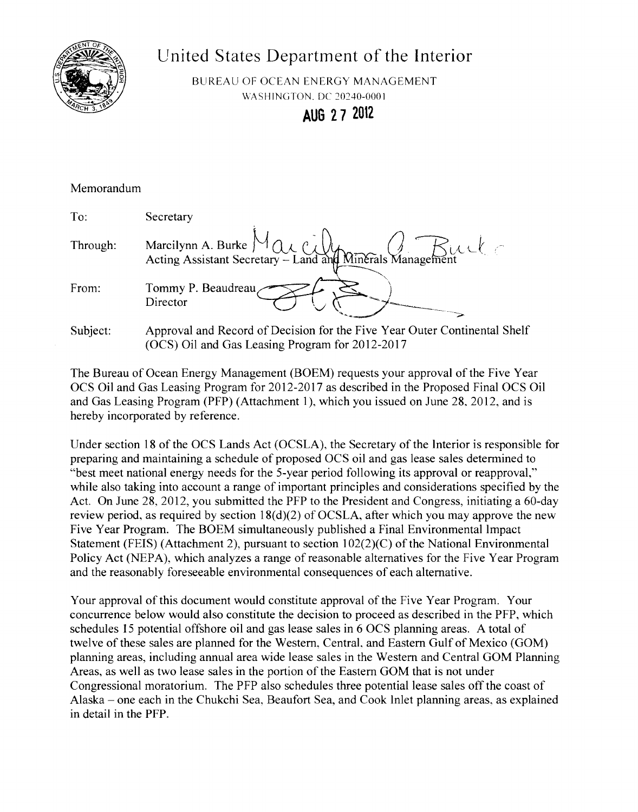

## United States Departtnent of the Interior

BUREAU OF OCEAN ENERGY MANAGEMENT \VASHINGTON. DC *20240-0001* 

**AUG 2 7 2012** 

| Memorandum |                                                                                                                              |
|------------|------------------------------------------------------------------------------------------------------------------------------|
| To:        | Secretary                                                                                                                    |
| Through:   | Marcilynn A. Burke $M_{\alpha\alpha}$ ( $\beta$ $\beta$ ) Minerals Management                                                |
| From:      | Tommy P. Beaudreau,<br>Director                                                                                              |
| Subject:   | Approval and Record of Decision for the Five Year Outer Continental Shelf<br>(OCS) Oil and Gas Leasing Program for 2012-2017 |

The Bureau of Ocean Energy Management (BOEM) requests your approval ofthe Five Year OCS Oil and Gas Leasing Program for 2012-2017 as described in the Proposed Final OCS Oil and Gas Leasing Program (PFP) (Attachment 1), which you issued on June 28,2012, and is hereby incorporated by reference.

Under section 18 of the OCS Lands Act (OCSLA), the Secretary of the Interior is responsible for preparing and maintaining a schedule of proposed OCS oil and gas lease sales determined to "best meet national energy needs for the 5-year period following its approval or reapproval," while also taking into account a range of important principles and considerations specified by the Act. On June 28, 2012, you submitted the PFP to the President and Congress, initiating a 60-day review period, as required by section  $18(d)(2)$  of OCSLA, after which you may approve the new Five Year Program. The BOEM simultaneously published a Final Environmental Impact Statement (FEIS) (Attachment 2), pursuant to section  $102(2)(C)$  of the National Environmental Policy Act (NEPA), which analyzes a range of reasonable alternatives for the Five Year Program and the reasonably foreseeable environmental consequences of each alternative.

Your approval of this document would constitute approval of the Five Year Program. Your concurrence below would also constitute the decision to proceed as described in the PFP, which schedules 15 potential offshore oil and gas lease sales in 6 OCS planning areas. A total of twelve of these sales are planned for the Western, Central, and Eastern Gulf of Mexico (GOM) planning areas, including annual area wide lease sales in the Western and Central GOM Planning Areas, as well as two lease sales in the portion of the Eastern GOM that is not under Congressional moratorium. The PFP also schedules three potential lease sales off the coast of Alaska – one each in the Chukchi Sea, Beaufort Sea, and Cook Inlet planning areas, as explained in detail in the PFP.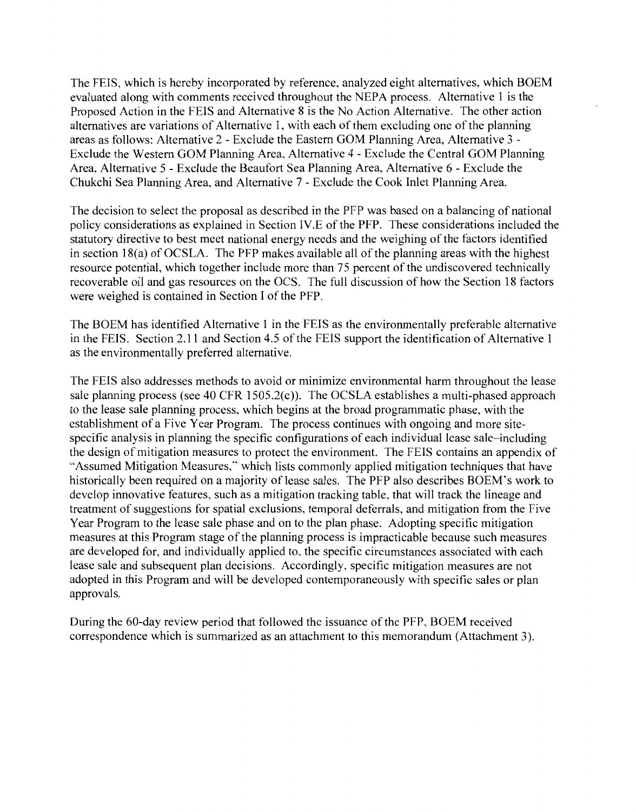The FEIS, which is hereby incorporated by reference, analyzed eight alternatives, which BOEM evaluated along with comments received throughout the NEPA process. Alternative 1 is the Proposed Action in the FEIS and Alternative 8 is the No Action Alternative. The other action alternatives are variations of Alternative 1, with each of them excluding one of the planning areas as follows: Alternative 2- Exclude the Eastern GOM Planning Area, Alternative 3- Exclude the Western GOM Planning Area, Alternative 4- Exclude the Central GOM Planning Area, Alternative 5 - Exclude the Beaufort Sea Planning Area, Alternative 6 - Exclude the Chukchi Sea Planning Area, and Alternative 7- Exclude the Cook Inlet Planning Area.

The decision to select the proposal as described in the PFP was based on a balancing of national policy considerations as explained in Section IV.E of the PFP. These considerations included the statutory directive to best meet national energy needs and the weighing of the factors identified in section  $18(a)$  of OCSLA. The PFP makes available all of the planning areas with the highest resource potential, which together include more than 75 percent of the undiscovered technically recoverable oil and gas resources on the OCS. The full discussion of how the Section 18 factors were weighed is contained in Section I of the PFP.

The BOEM has identified Alternative 1 in the FEIS as the environmentally preferable alternative in the FEIS. Section 2.11 and Section 4.5 of the FEIS support the identification of Alternative 1 as the environmentally preferred alternative.

The FEIS also addresses methods to avoid or minimize environmental harm throughout the lease sale planning process (see 40 CFR 1505.2(c)). The OCSLA establishes a multi-phased approach to the lease sale planning process, which begins at the broad programmatic phase, with the establishment of a Five Year Program. The process continues with ongoing and more sitespecific analysis in planning the specific configurations of each individual lease sale-including the design of mitigation measures to protect the environment. The FEIS contains an appendix of ''Assumed Mitigation Measures," which lists commonly applied mitigation techniques that have historically been required on a majority of lease sales. The PFP also describes BOEM's work to develop innovative features, such as a mitigation tracking table, that will track the lineage and treatment of suggestions for spatial exclusions, temporal deferrals, and mitigation from the Five Year Program to the lease sale phase and on to the plan phase. Adopting specific mitigation measures at this Program stage of the planning process is impracticable because such measures are developed for, and individually applied to, the specific circumstances associated with each lease sale and subsequent plan decisions. Accordingly, specific mitigation measures are not adopted in this Program and will be developed contemporaneously with specific sales or plan approvals.

During the 60-day review period that followed the issuance of the PFP, BOEM received correspondence which is summarized as an attachment to this memorandum (Attachment 3).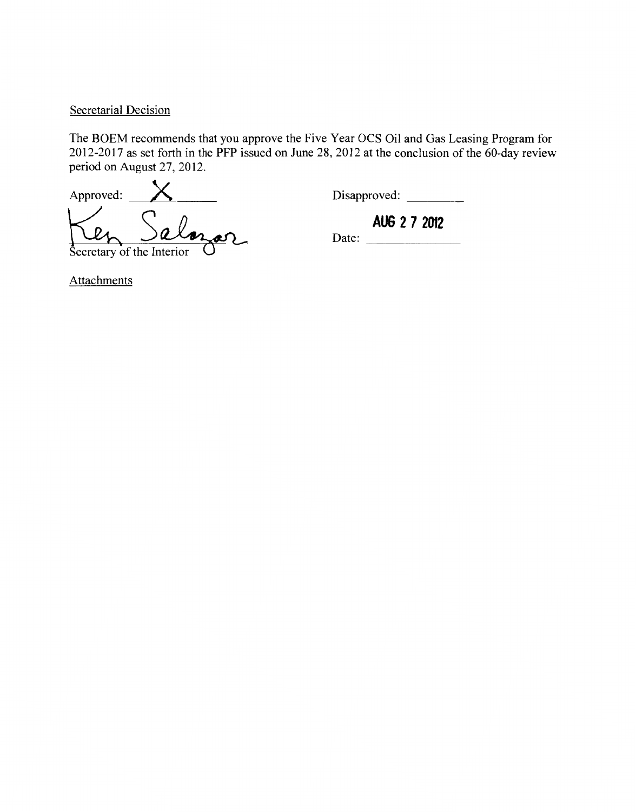## Secretarial Decision

The BOEM recommends that you approve the Five Year OCS Oil and Gas Leasing Program for 2012-2017 as set forth in the PFP issued on June 28, 2012 at the conclusion of the 60-day review period on August 27, 2012.

Approved: X Disapproved: \_\_\_ \_ Secretary of the Interior O<sup>D</sup>

AUG 2 7 2012<br>Date:

**Attachments**